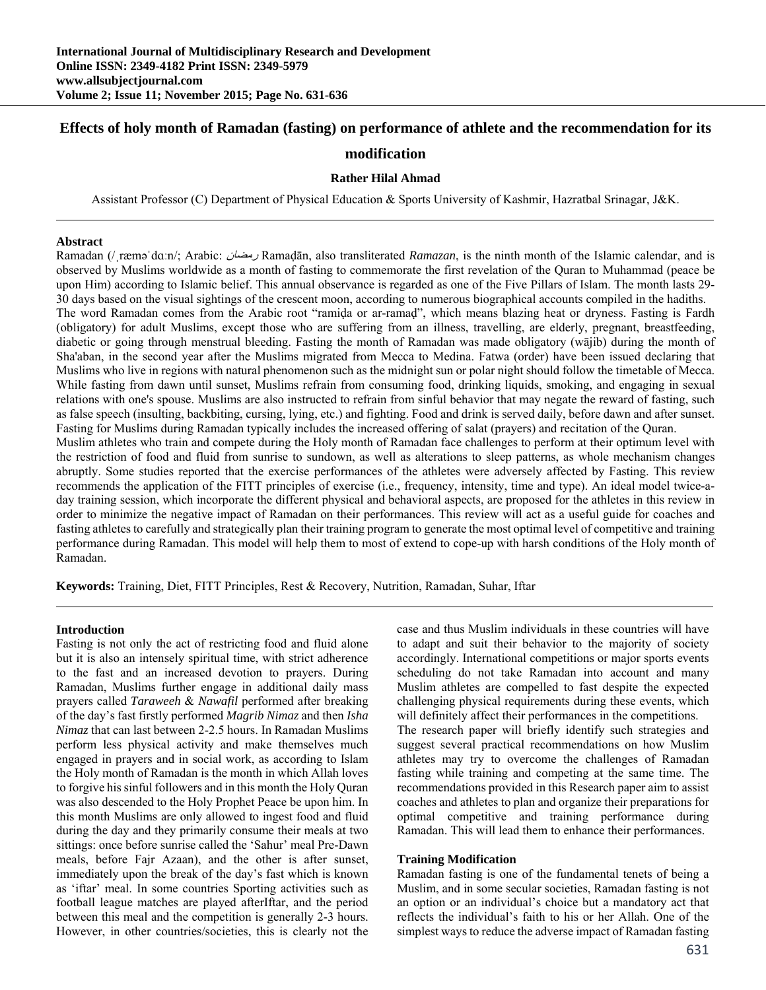# **Effects of holy month of Ramadan (fasting) on performance of athlete and the recommendation for its**

# **modification**

### **Rather Hilal Ahmad**

Assistant Professor (C) Department of Physical Education & Sports University of Kashmir, Hazratbal Srinagar, J&K.

#### **Abstract**

Ramadan (/ˌræməˈdɑːn/; Arabic: رمضان Ramaḍān, also transliterated *Ramazan*, is the ninth month of the Islamic calendar, and is observed by Muslims worldwide as a month of fasting to commemorate the first revelation of the Quran to Muhammad (peace be upon Him) according to Islamic belief. This annual observance is regarded as one of the Five Pillars of Islam. The month lasts 29- 30 days based on the visual sightings of the crescent moon, according to numerous biographical accounts compiled in the hadiths. The word Ramadan comes from the Arabic root "ramida or ar-ramad", which means blazing heat or dryness. Fasting is Fardh (obligatory) for adult Muslims, except those who are suffering from an illness, travelling, are elderly, pregnant, breastfeeding, diabetic or going through menstrual bleeding. Fasting the month of Ramadan was made obligatory (wājib) during the month of Sha'aban, in the second year after the Muslims migrated from Mecca to Medina. Fatwa (order) have been issued declaring that Muslims who live in regions with natural phenomenon such as the midnight sun or polar night should follow the timetable of Mecca. While fasting from dawn until sunset, Muslims refrain from consuming food, drinking liquids, smoking, and engaging in sexual relations with one's spouse. Muslims are also instructed to refrain from sinful behavior that may negate the reward of fasting, such as false speech (insulting, backbiting, cursing, lying, etc.) and fighting. Food and drink is served daily, before dawn and after sunset. Fasting for Muslims during Ramadan typically includes the increased offering of salat (prayers) and recitation of the Quran. Muslim athletes who train and compete during the Holy month of Ramadan face challenges to perform at their optimum level with the restriction of food and fluid from sunrise to sundown, as well as alterations to sleep patterns, as whole mechanism changes abruptly. Some studies reported that the exercise performances of the athletes were adversely affected by Fasting. This review recommends the application of the FITT principles of exercise (i.e., frequency, intensity, time and type). An ideal model twice-aday training session, which incorporate the different physical and behavioral aspects, are proposed for the athletes in this review in order to minimize the negative impact of Ramadan on their performances. This review will act as a useful guide for coaches and fasting athletes to carefully and strategically plan their training program to generate the most optimal level of competitive and training performance during Ramadan. This model will help them to most of extend to cope-up with harsh conditions of the Holy month of

**Keywords:** Training, Diet, FITT Principles, Rest & Recovery, Nutrition, Ramadan, Suhar, Iftar

### **Introduction**

Ramadan.

Fasting is not only the act of restricting food and fluid alone but it is also an intensely spiritual time, with strict adherence to the fast and an increased devotion to prayers. During Ramadan, Muslims further engage in additional daily mass prayers called *Taraweeh* & *Nawafil* performed after breaking of the day's fast firstly performed *Magrib Nimaz* and then *Isha Nimaz* that can last between 2-2.5 hours. In Ramadan Muslims perform less physical activity and make themselves much engaged in prayers and in social work, as according to Islam the Holy month of Ramadan is the month in which Allah loves to forgive his sinful followers and in this month the Holy Quran was also descended to the Holy Prophet Peace be upon him. In this month Muslims are only allowed to ingest food and fluid during the day and they primarily consume their meals at two sittings: once before sunrise called the 'Sahur' meal Pre-Dawn meals, before Fajr Azaan), and the other is after sunset, immediately upon the break of the day's fast which is known as 'iftar' meal. In some countries Sporting activities such as football league matches are played afterIftar, and the period between this meal and the competition is generally 2-3 hours. However, in other countries/societies, this is clearly not the

case and thus Muslim individuals in these countries will have to adapt and suit their behavior to the majority of society accordingly. International competitions or major sports events scheduling do not take Ramadan into account and many Muslim athletes are compelled to fast despite the expected challenging physical requirements during these events, which will definitely affect their performances in the competitions. The research paper will briefly identify such strategies and suggest several practical recommendations on how Muslim athletes may try to overcome the challenges of Ramadan

fasting while training and competing at the same time. The recommendations provided in this Research paper aim to assist coaches and athletes to plan and organize their preparations for optimal competitive and training performance during Ramadan. This will lead them to enhance their performances.

### **Training Modification**

Ramadan fasting is one of the fundamental tenets of being a Muslim, and in some secular societies, Ramadan fasting is not an option or an individual's choice but a mandatory act that reflects the individual's faith to his or her Allah. One of the simplest ways to reduce the adverse impact of Ramadan fasting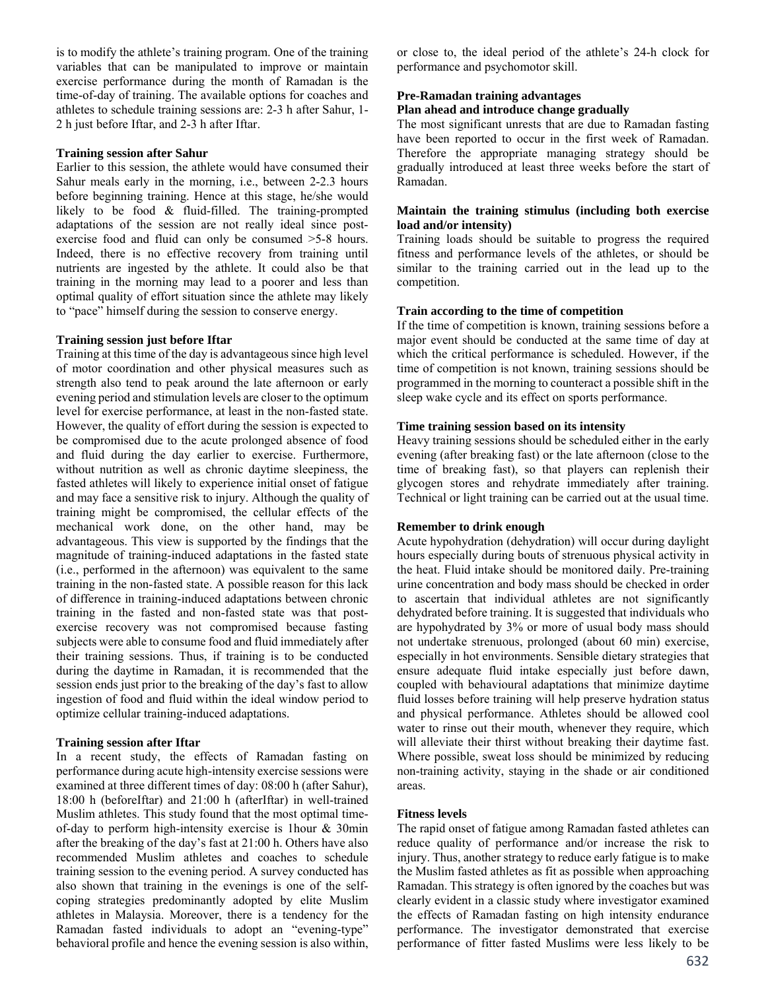is to modify the athlete's training program. One of the training variables that can be manipulated to improve or maintain exercise performance during the month of Ramadan is the time-of-day of training. The available options for coaches and athletes to schedule training sessions are: 2-3 h after Sahur, 1- 2 h just before Iftar, and 2-3 h after Iftar.

### **Training session after Sahur**

Earlier to this session, the athlete would have consumed their Sahur meals early in the morning, i.e., between 2-2.3 hours before beginning training. Hence at this stage, he/she would likely to be food & fluid-filled. The training-prompted adaptations of the session are not really ideal since postexercise food and fluid can only be consumed >5-8 hours. Indeed, there is no effective recovery from training until nutrients are ingested by the athlete. It could also be that training in the morning may lead to a poorer and less than optimal quality of effort situation since the athlete may likely to "pace" himself during the session to conserve energy.

#### **Training session just before Iftar**

Training at this time of the day is advantageous since high level of motor coordination and other physical measures such as strength also tend to peak around the late afternoon or early evening period and stimulation levels are closer to the optimum level for exercise performance, at least in the non-fasted state. However, the quality of effort during the session is expected to be compromised due to the acute prolonged absence of food and fluid during the day earlier to exercise. Furthermore, without nutrition as well as chronic daytime sleepiness, the fasted athletes will likely to experience initial onset of fatigue and may face a sensitive risk to injury. Although the quality of training might be compromised, the cellular effects of the mechanical work done, on the other hand, may be advantageous. This view is supported by the findings that the magnitude of training-induced adaptations in the fasted state (i.e., performed in the afternoon) was equivalent to the same training in the non-fasted state. A possible reason for this lack of difference in training-induced adaptations between chronic training in the fasted and non-fasted state was that postexercise recovery was not compromised because fasting subjects were able to consume food and fluid immediately after their training sessions. Thus, if training is to be conducted during the daytime in Ramadan, it is recommended that the session ends just prior to the breaking of the day's fast to allow ingestion of food and fluid within the ideal window period to optimize cellular training-induced adaptations.

#### **Training session after Iftar**

In a recent study, the effects of Ramadan fasting on performance during acute high-intensity exercise sessions were examined at three different times of day: 08:00 h (after Sahur), 18:00 h (beforeIftar) and 21:00 h (afterIftar) in well-trained Muslim athletes. This study found that the most optimal timeof-day to perform high-intensity exercise is 1hour & 30min after the breaking of the day's fast at 21:00 h. Others have also recommended Muslim athletes and coaches to schedule training session to the evening period. A survey conducted has also shown that training in the evenings is one of the selfcoping strategies predominantly adopted by elite Muslim athletes in Malaysia. Moreover, there is a tendency for the Ramadan fasted individuals to adopt an "evening-type" behavioral profile and hence the evening session is also within, or close to, the ideal period of the athlete's 24-h clock for performance and psychomotor skill.

#### **Pre-Ramadan training advantages**

### **Plan ahead and introduce change gradually**

The most significant unrests that are due to Ramadan fasting have been reported to occur in the first week of Ramadan. Therefore the appropriate managing strategy should be gradually introduced at least three weeks before the start of Ramadan.

### **Maintain the training stimulus (including both exercise load and/or intensity)**

Training loads should be suitable to progress the required fitness and performance levels of the athletes, or should be similar to the training carried out in the lead up to the competition.

#### **Train according to the time of competition**

If the time of competition is known, training sessions before a major event should be conducted at the same time of day at which the critical performance is scheduled. However, if the time of competition is not known, training sessions should be programmed in the morning to counteract a possible shift in the sleep wake cycle and its effect on sports performance.

### **Time training session based on its intensity**

Heavy training sessions should be scheduled either in the early evening (after breaking fast) or the late afternoon (close to the time of breaking fast), so that players can replenish their glycogen stores and rehydrate immediately after training. Technical or light training can be carried out at the usual time.

### **Remember to drink enough**

Acute hypohydration (dehydration) will occur during daylight hours especially during bouts of strenuous physical activity in the heat. Fluid intake should be monitored daily. Pre-training urine concentration and body mass should be checked in order to ascertain that individual athletes are not significantly dehydrated before training. It is suggested that individuals who are hypohydrated by 3% or more of usual body mass should not undertake strenuous, prolonged (about 60 min) exercise, especially in hot environments. Sensible dietary strategies that ensure adequate fluid intake especially just before dawn, coupled with behavioural adaptations that minimize daytime fluid losses before training will help preserve hydration status and physical performance. Athletes should be allowed cool water to rinse out their mouth, whenever they require, which will alleviate their thirst without breaking their daytime fast. Where possible, sweat loss should be minimized by reducing non-training activity, staying in the shade or air conditioned areas.

#### **Fitness levels**

The rapid onset of fatigue among Ramadan fasted athletes can reduce quality of performance and/or increase the risk to injury. Thus, another strategy to reduce early fatigue is to make the Muslim fasted athletes as fit as possible when approaching Ramadan. This strategy is often ignored by the coaches but was clearly evident in a classic study where investigator examined the effects of Ramadan fasting on high intensity endurance performance. The investigator demonstrated that exercise performance of fitter fasted Muslims were less likely to be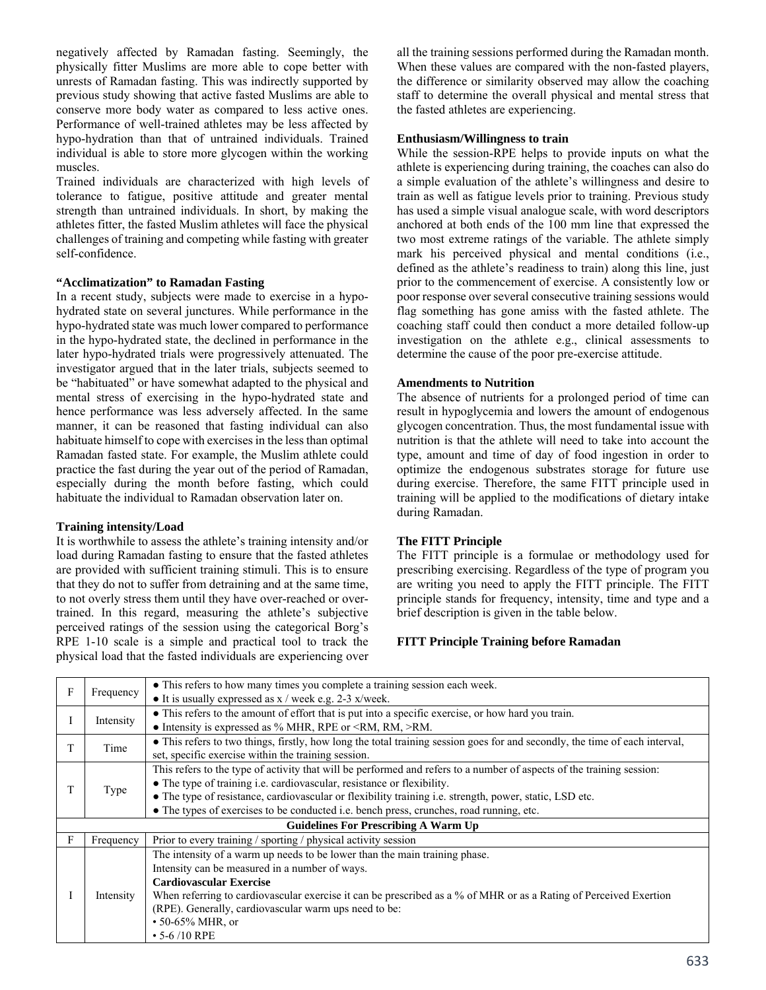negatively affected by Ramadan fasting. Seemingly, the physically fitter Muslims are more able to cope better with unrests of Ramadan fasting. This was indirectly supported by previous study showing that active fasted Muslims are able to conserve more body water as compared to less active ones. Performance of well-trained athletes may be less affected by hypo-hydration than that of untrained individuals. Trained individual is able to store more glycogen within the working muscles.

Trained individuals are characterized with high levels of tolerance to fatigue, positive attitude and greater mental strength than untrained individuals. In short, by making the athletes fitter, the fasted Muslim athletes will face the physical challenges of training and competing while fasting with greater self-confidence.

# **"Acclimatization" to Ramadan Fasting**

In a recent study, subjects were made to exercise in a hypohydrated state on several junctures. While performance in the hypo-hydrated state was much lower compared to performance in the hypo-hydrated state, the declined in performance in the later hypo-hydrated trials were progressively attenuated. The investigator argued that in the later trials, subjects seemed to be "habituated" or have somewhat adapted to the physical and mental stress of exercising in the hypo-hydrated state and hence performance was less adversely affected. In the same manner, it can be reasoned that fasting individual can also habituate himself to cope with exercises in the less than optimal Ramadan fasted state. For example, the Muslim athlete could practice the fast during the year out of the period of Ramadan, especially during the month before fasting, which could habituate the individual to Ramadan observation later on.

# **Training intensity/Load**

It is worthwhile to assess the athlete's training intensity and/or load during Ramadan fasting to ensure that the fasted athletes are provided with sufficient training stimuli. This is to ensure that they do not to suffer from detraining and at the same time, to not overly stress them until they have over-reached or overtrained. In this regard, measuring the athlete's subjective perceived ratings of the session using the categorical Borg's RPE 1-10 scale is a simple and practical tool to track the physical load that the fasted individuals are experiencing over all the training sessions performed during the Ramadan month. When these values are compared with the non-fasted players, the difference or similarity observed may allow the coaching staff to determine the overall physical and mental stress that the fasted athletes are experiencing.

### **Enthusiasm/Willingness to train**

While the session-RPE helps to provide inputs on what the athlete is experiencing during training, the coaches can also do a simple evaluation of the athlete's willingness and desire to train as well as fatigue levels prior to training. Previous study has used a simple visual analogue scale, with word descriptors anchored at both ends of the 100 mm line that expressed the two most extreme ratings of the variable. The athlete simply mark his perceived physical and mental conditions (i.e., defined as the athlete's readiness to train) along this line, just prior to the commencement of exercise. A consistently low or poor response over several consecutive training sessions would flag something has gone amiss with the fasted athlete. The coaching staff could then conduct a more detailed follow-up investigation on the athlete e.g., clinical assessments to determine the cause of the poor pre-exercise attitude.

### **Amendments to Nutrition**

The absence of nutrients for a prolonged period of time can result in hypoglycemia and lowers the amount of endogenous glycogen concentration. Thus, the most fundamental issue with nutrition is that the athlete will need to take into account the type, amount and time of day of food ingestion in order to optimize the endogenous substrates storage for future use during exercise. Therefore, the same FITT principle used in training will be applied to the modifications of dietary intake during Ramadan.

### **The FITT Principle**

The FITT principle is a formulae or methodology used for prescribing exercising. Regardless of the type of program you are writing you need to apply the FITT principle. The FITT principle stands for frequency, intensity, time and type and a brief description is given in the table below.

# **FITT Principle Training before Ramadan**

| F | Frequency | • This refers to how many times you complete a training session each week.                                                  |
|---|-----------|-----------------------------------------------------------------------------------------------------------------------------|
|   |           | • It is usually expressed as $x /$ week e.g. 2-3 $x$ /week.                                                                 |
|   | Intensity | • This refers to the amount of effort that is put into a specific exercise, or how hard you train.                          |
|   |           | • Intensity is expressed as $\%$ MHR, RPE or <rm, rm,="">RM.</rm,>                                                          |
| T | Time      | • This refers to two things, firstly, how long the total training session goes for and secondly, the time of each interval, |
|   |           | set, specific exercise within the training session.                                                                         |
| T | Type      | This refers to the type of activity that will be performed and refers to a number of aspects of the training session:       |
|   |           | • The type of training i.e. cardiovascular, resistance or flexibility.                                                      |
|   |           | • The type of resistance, cardiovascular or flexibility training i.e. strength, power, static, LSD etc.                     |
|   |           | • The types of exercises to be conducted i.e. bench press, crunches, road running, etc.                                     |
|   |           | <b>Guidelines For Prescribing A Warm Up</b>                                                                                 |
| F | Frequency | Prior to every training / sporting / physical activity session                                                              |
|   | Intensity | The intensity of a warm up needs to be lower than the main training phase.                                                  |
|   |           | Intensity can be measured in a number of ways.                                                                              |
|   |           | <b>Cardiovascular Exercise</b>                                                                                              |
|   |           | When referring to cardiovascular exercise it can be prescribed as a % of MHR or as a Rating of Perceived Exertion           |
|   |           | (RPE). Generally, cardiovascular warm ups need to be:                                                                       |
|   |           | • 50-65% MHR, or                                                                                                            |
|   |           | $\cdot$ 5-6/10 RPE                                                                                                          |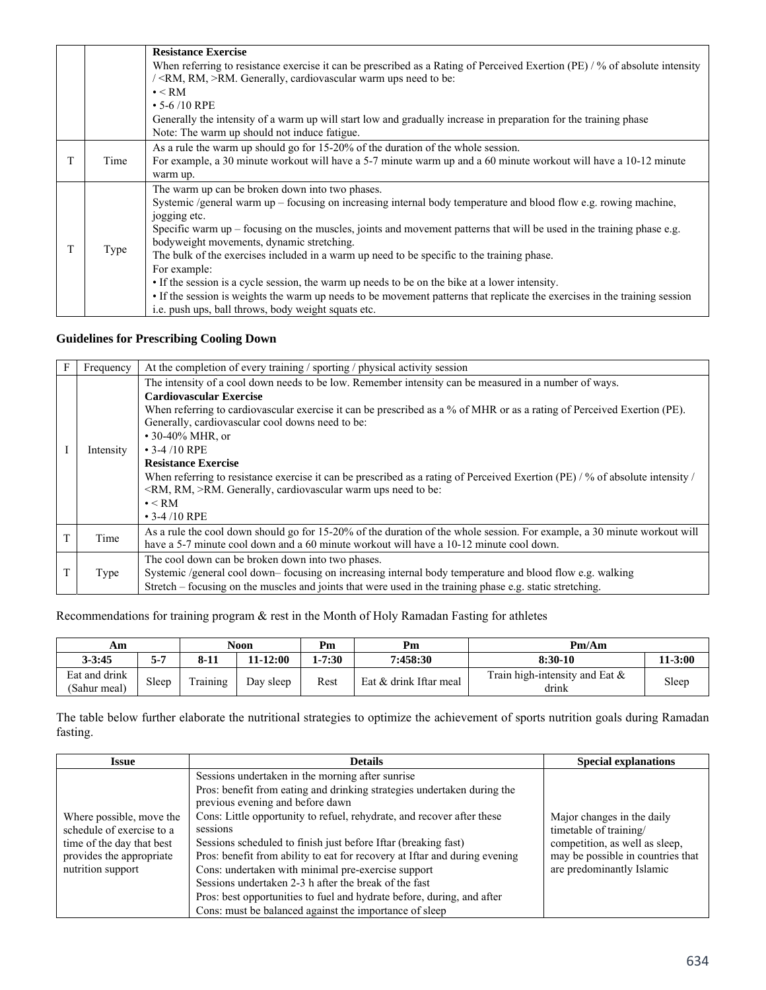| When referring to resistance exercise it can be prescribed as a Rating of Perceived Exertion (PE) / % of absolute intensity                                                                                                  |
|------------------------------------------------------------------------------------------------------------------------------------------------------------------------------------------------------------------------------|
|                                                                                                                                                                                                                              |
|                                                                                                                                                                                                                              |
|                                                                                                                                                                                                                              |
| Generally the intensity of a warm up will start low and gradually increase in preparation for the training phase                                                                                                             |
|                                                                                                                                                                                                                              |
|                                                                                                                                                                                                                              |
| For example, a 30 minute workout will have a 5-7 minute warm up and a 60 minute workout will have a 10-12 minute                                                                                                             |
|                                                                                                                                                                                                                              |
|                                                                                                                                                                                                                              |
| Systemic /general warm up – focusing on increasing internal body temperature and blood flow e.g. rowing machine,                                                                                                             |
|                                                                                                                                                                                                                              |
| Specific warm up – focusing on the muscles, joints and movement patterns that will be used in the training phase e.g.                                                                                                        |
|                                                                                                                                                                                                                              |
| The bulk of the exercises included in a warm up need to be specific to the training phase.                                                                                                                                   |
|                                                                                                                                                                                                                              |
|                                                                                                                                                                                                                              |
|                                                                                                                                                                                                                              |
|                                                                                                                                                                                                                              |
| • If the session is a cycle session, the warm up needs to be on the bike at a lower intensity.<br>• If the session is weights the warm up needs to be movement patterns that replicate the exercises in the training session |

# **Guidelines for Prescribing Cooling Down**

| Frequency | At the completion of every training / sporting / physical activity session                                                                                                                                                                                                                                                                                                                                                                                                                                                                                                                                                                                                 |  |  |  |
|-----------|----------------------------------------------------------------------------------------------------------------------------------------------------------------------------------------------------------------------------------------------------------------------------------------------------------------------------------------------------------------------------------------------------------------------------------------------------------------------------------------------------------------------------------------------------------------------------------------------------------------------------------------------------------------------------|--|--|--|
| Intensity | The intensity of a cool down needs to be low. Remember intensity can be measured in a number of ways.<br><b>Cardiovascular Exercise</b><br>When referring to cardiovascular exercise it can be prescribed as a % of MHR or as a rating of Perceived Exertion (PE).<br>Generally, cardiovascular cool downs need to be:<br>• 30-40% MHR, or<br>$\cdot$ 3-4/10 RPE<br><b>Resistance Exercise</b><br>When referring to resistance exercise it can be prescribed as a rating of Perceived Exertion (PE) / % of absolute intensity /<br><rm, rm,="">RM. Generally, cardiovascular warm ups need to be:<br/><math>\bullet</math> &lt; RM<br/><math>\cdot</math> 3-4/10 RPE</rm,> |  |  |  |
| Time      | As a rule the cool down should go for 15-20% of the duration of the whole session. For example, a 30 minute workout will<br>have a 5-7 minute cool down and a 60 minute workout will have a 10-12 minute cool down.                                                                                                                                                                                                                                                                                                                                                                                                                                                        |  |  |  |
| Type      | The cool down can be broken down into two phases.<br>Systemic /general cool down- focusing on increasing internal body temperature and blood flow e.g. walking<br>Stretch – focusing on the muscles and joints that were used in the training phase e.g. static stretching.                                                                                                                                                                                                                                                                                                                                                                                                |  |  |  |

Recommendations for training program & rest in the Month of Holy Ramadan Fasting for athletes

| Аm                            |       | <b>Noon</b> |           | Pm         | Pm                     | Pm/Am                                      |           |
|-------------------------------|-------|-------------|-----------|------------|------------------------|--------------------------------------------|-----------|
| $3 - 3:45$                    | $5-7$ | $8-11$      | 11-12:00  | $1 - 7:30$ | 7:458:30               | 8:30-10                                    | $11-3:00$ |
| Eat and drink<br>(Sahur meal) | Sleep | Training    | Day sleep | Rest       | Eat & drink Iftar meal | Train high-intensity and Eat $\&$<br>drink | Sleep     |

The table below further elaborate the nutritional strategies to optimize the achievement of sports nutrition goals during Ramadan fasting.

| <b>Issue</b>                                                                                                                        | <b>Details</b>                                                                                                                                                                                                                                                                                                                                                                                                                                                                                                                                                                                                                                           | <b>Special explanations</b>                                                                                                                              |
|-------------------------------------------------------------------------------------------------------------------------------------|----------------------------------------------------------------------------------------------------------------------------------------------------------------------------------------------------------------------------------------------------------------------------------------------------------------------------------------------------------------------------------------------------------------------------------------------------------------------------------------------------------------------------------------------------------------------------------------------------------------------------------------------------------|----------------------------------------------------------------------------------------------------------------------------------------------------------|
| Where possible, move the<br>schedule of exercise to a<br>time of the day that best<br>provides the appropriate<br>nutrition support | Sessions undertaken in the morning after sunrise<br>Pros: benefit from eating and drinking strategies undertaken during the<br>previous evening and before dawn<br>Cons: Little opportunity to refuel, rehydrate, and recover after these<br>sessions<br>Sessions scheduled to finish just before Iftar (breaking fast)<br>Pros: benefit from ability to eat for recovery at Iftar and during evening<br>Cons: undertaken with minimal pre-exercise support<br>Sessions undertaken 2-3 h after the break of the fast<br>Pros: best opportunities to fuel and hydrate before, during, and after<br>Cons: must be balanced against the importance of sleep | Major changes in the daily<br>timetable of training/<br>competition, as well as sleep,<br>may be possible in countries that<br>are predominantly Islamic |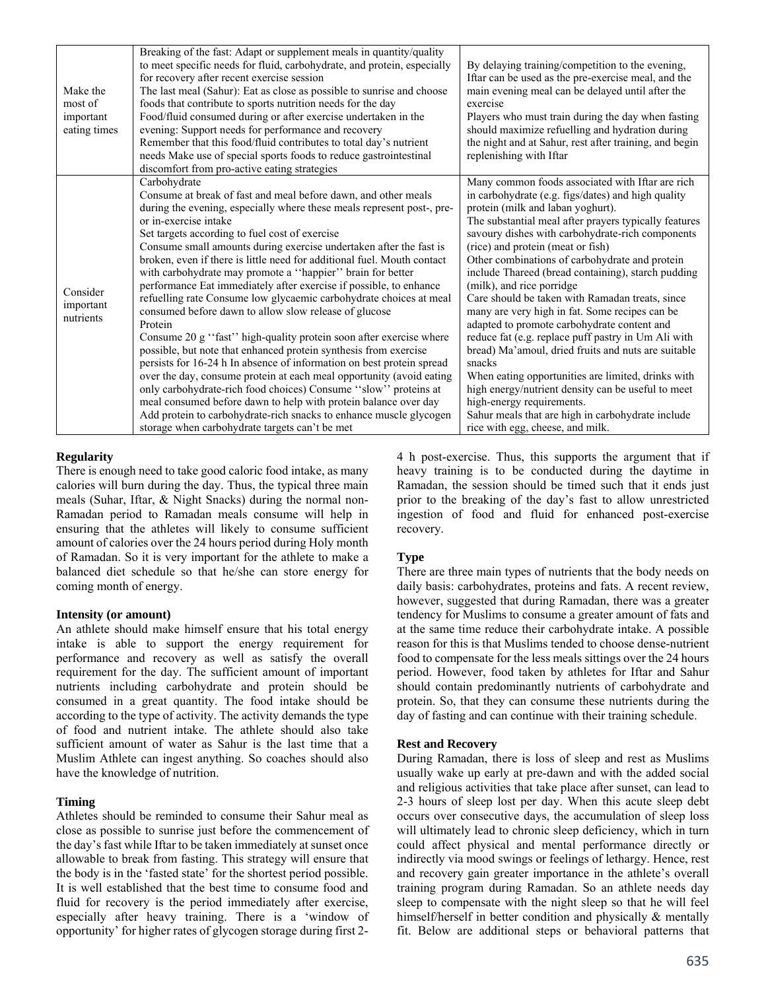| Make the<br>most of<br>important<br>eating times | Breaking of the fast: Adapt or supplement meals in quantity/quality<br>to meet specific needs for fluid, carbohydrate, and protein, especially<br>for recovery after recent exercise session<br>The last meal (Sahur): Eat as close as possible to sunrise and choose<br>foods that contribute to sports nutrition needs for the day<br>Food/fluid consumed during or after exercise undertaken in the<br>evening: Support needs for performance and recovery<br>Remember that this food/fluid contributes to total day's nutrient                                                                                                                                                                                                                                                                                                                                                                                                                                                                                                                                                                                                                                                                                          | By delaying training/competition to the evening,<br>Iftar can be used as the pre-exercise meal, and the<br>main evening meal can be delayed until after the<br>exercise<br>Players who must train during the day when fasting<br>should maximize refuelling and hydration during<br>the night and at Sahur, rest after training, and begin                                                                                                                                                                                                                                                                                                                                                                                                                                                                                                                                                                                                       |
|--------------------------------------------------|-----------------------------------------------------------------------------------------------------------------------------------------------------------------------------------------------------------------------------------------------------------------------------------------------------------------------------------------------------------------------------------------------------------------------------------------------------------------------------------------------------------------------------------------------------------------------------------------------------------------------------------------------------------------------------------------------------------------------------------------------------------------------------------------------------------------------------------------------------------------------------------------------------------------------------------------------------------------------------------------------------------------------------------------------------------------------------------------------------------------------------------------------------------------------------------------------------------------------------|--------------------------------------------------------------------------------------------------------------------------------------------------------------------------------------------------------------------------------------------------------------------------------------------------------------------------------------------------------------------------------------------------------------------------------------------------------------------------------------------------------------------------------------------------------------------------------------------------------------------------------------------------------------------------------------------------------------------------------------------------------------------------------------------------------------------------------------------------------------------------------------------------------------------------------------------------|
|                                                  | needs Make use of special sports foods to reduce gastrointestinal<br>discomfort from pro-active eating strategies                                                                                                                                                                                                                                                                                                                                                                                                                                                                                                                                                                                                                                                                                                                                                                                                                                                                                                                                                                                                                                                                                                           | replenishing with Iftar                                                                                                                                                                                                                                                                                                                                                                                                                                                                                                                                                                                                                                                                                                                                                                                                                                                                                                                          |
| Consider<br>important<br>nutrients               | Carbohydrate<br>Consume at break of fast and meal before dawn, and other meals<br>during the evening, especially where these meals represent post-, pre-<br>or in-exercise intake<br>Set targets according to fuel cost of exercise<br>Consume small amounts during exercise undertaken after the fast is<br>broken, even if there is little need for additional fuel. Mouth contact<br>with carbohydrate may promote a "happier" brain for better<br>performance Eat immediately after exercise if possible, to enhance<br>refuelling rate Consume low glycaemic carbohydrate choices at meal<br>consumed before dawn to allow slow release of glucose<br>Protein<br>Consume 20 g "fast" high-quality protein soon after exercise where<br>possible, but note that enhanced protein synthesis from exercise<br>persists for 16-24 h In absence of information on best protein spread<br>over the day, consume protein at each meal opportunity (avoid eating<br>only carbohydrate-rich food choices) Consume "slow" proteins at<br>meal consumed before dawn to help with protein balance over day<br>Add protein to carbohydrate-rich snacks to enhance muscle glycogen<br>storage when carbohydrate targets can't be met | Many common foods associated with Iftar are rich<br>in carbohydrate (e.g. figs/dates) and high quality<br>protein (milk and laban yoghurt).<br>The substantial meal after prayers typically features<br>savoury dishes with carbohydrate-rich components<br>(rice) and protein (meat or fish)<br>Other combinations of carbohydrate and protein<br>include Thareed (bread containing), starch pudding<br>(milk), and rice porridge<br>Care should be taken with Ramadan treats, since<br>many are very high in fat. Some recipes can be<br>adapted to promote carbohydrate content and<br>reduce fat (e.g. replace puff pastry in Um Ali with<br>bread) Ma'amoul, dried fruits and nuts are suitable<br>snacks<br>When eating opportunities are limited, drinks with<br>high energy/nutrient density can be useful to meet<br>high-energy requirements.<br>Sahur meals that are high in carbohydrate include<br>rice with egg, cheese, and milk. |

# **Regularity**

There is enough need to take good caloric food intake, as many calories will burn during the day. Thus, the typical three main meals (Suhar, Iftar, & Night Snacks) during the normal non-Ramadan period to Ramadan meals consume will help in ensuring that the athletes will likely to consume sufficient amount of calories over the 24 hours period during Holy month of Ramadan. So it is very important for the athlete to make a balanced diet schedule so that he/she can store energy for coming month of energy.

### **Intensity (or amount)**

An athlete should make himself ensure that his total energy intake is able to support the energy requirement for performance and recovery as well as satisfy the overall requirement for the day. The sufficient amount of important nutrients including carbohydrate and protein should be consumed in a great quantity. The food intake should be according to the type of activity. The activity demands the type of food and nutrient intake. The athlete should also take sufficient amount of water as Sahur is the last time that a Muslim Athlete can ingest anything. So coaches should also have the knowledge of nutrition.

### **Timing**

Athletes should be reminded to consume their Sahur meal as close as possible to sunrise just before the commencement of the day's fast while Iftar to be taken immediately at sunset once allowable to break from fasting. This strategy will ensure that the body is in the 'fasted state' for the shortest period possible. It is well established that the best time to consume food and fluid for recovery is the period immediately after exercise, especially after heavy training. There is a 'window of opportunity' for higher rates of glycogen storage during first 24 h post-exercise. Thus, this supports the argument that if heavy training is to be conducted during the daytime in Ramadan, the session should be timed such that it ends just prior to the breaking of the day's fast to allow unrestricted ingestion of food and fluid for enhanced post-exercise recovery.

### **Type**

There are three main types of nutrients that the body needs on daily basis: carbohydrates, proteins and fats. A recent review, however, suggested that during Ramadan, there was a greater tendency for Muslims to consume a greater amount of fats and at the same time reduce their carbohydrate intake. A possible reason for this is that Muslims tended to choose dense-nutrient food to compensate for the less meals sittings over the 24 hours period. However, food taken by athletes for Iftar and Sahur should contain predominantly nutrients of carbohydrate and protein. So, that they can consume these nutrients during the day of fasting and can continue with their training schedule.

### **Rest and Recovery**

During Ramadan, there is loss of sleep and rest as Muslims usually wake up early at pre-dawn and with the added social and religious activities that take place after sunset, can lead to 2-3 hours of sleep lost per day. When this acute sleep debt occurs over consecutive days, the accumulation of sleep loss will ultimately lead to chronic sleep deficiency, which in turn could affect physical and mental performance directly or indirectly via mood swings or feelings of lethargy. Hence, rest and recovery gain greater importance in the athlete's overall training program during Ramadan. So an athlete needs day sleep to compensate with the night sleep so that he will feel himself/herself in better condition and physically & mentally fit. Below are additional steps or behavioral patterns that